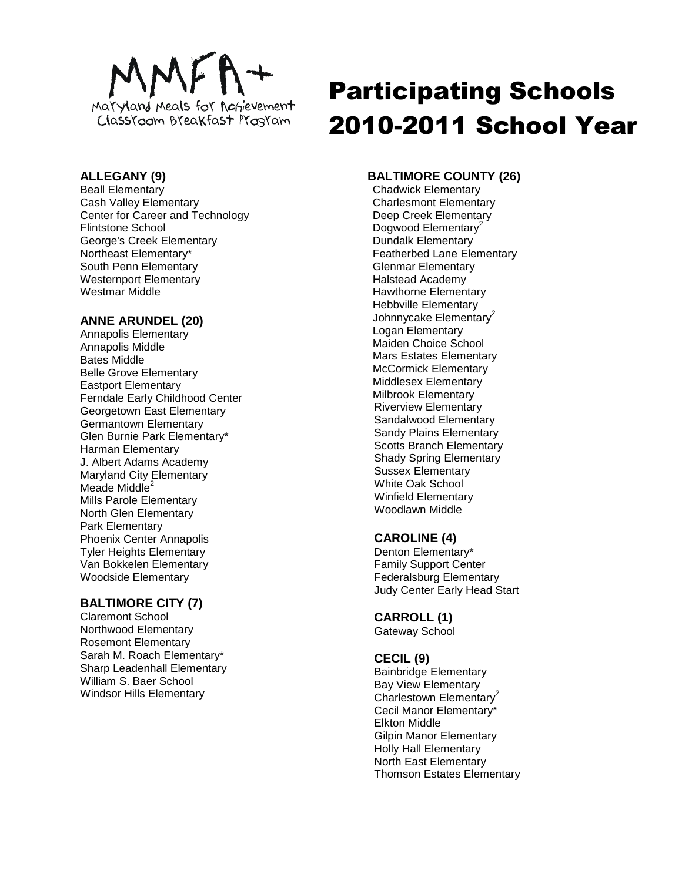

## **ALLEGANY (9)**

Beall Elementary Cash Valley Elementary Center for Career and Technology Flintstone School George's Creek Elementary Northeast Elementary\* South Penn Elementary Westernport Elementary Westmar Middle

# **ANNE ARUNDEL (20)**

Annapolis Elementary Annapolis Middle Bates Middle Belle Grove Elementary Eastport Elementary Ferndale Early Childhood Center Georgetown East Elementary Germantown Elementary Glen Burnie Park Elementary\* Harman Elementary J. Albert Adams Academy Maryland City Elementary Meade Middle<sup>2</sup> Mills Parole Elementary North Glen Elementary Park Elementary Phoenix Center Annapolis Tyler Heights Elementary Van Bokkelen Elementary Woodside Elementary

# **BALTIMORE CITY (7)**

Claremont School Northwood Elementary Rosemont Elementary Sarah M. Roach Elementary\* Sharp Leadenhall Elementary William S. Baer School Windsor Hills Elementary

# Participating Schools 2010-2011 School Year

# **BALTIMORE COUNTY (26)**

Chadwick Elementary Charlesmont Elementary Deep Creek Elementary Dogwood Elementary<sup>2</sup> Dundalk Elementary Featherbed Lane Elementary Glenmar Elementary Halstead Academy Hawthorne Elementary Hebbville Elementary Johnnycake Elementary<sup>2</sup> Logan Elementary Maiden Choice School Mars Estates Elementary McCormick Elementary Middlesex Elementary Milbrook Elementary Riverview Elementary Sandalwood Elementary Sandy Plains Elementary Scotts Branch Elementary Shady Spring Elementary Sussex Elementary White Oak School Winfield Elementary Woodlawn Middle

# **CAROLINE (4)**

Denton Elementary\* Family Support Center Federalsburg Elementary Judy Center Early Head Start

#### **CARROLL (1)**

Gateway School

#### **CECIL (9)**

Bainbridge Elementary Bay View Elementary Charlestown Elementary<sup>2</sup> Cecil Manor Elementary\* Elkton Middle Gilpin Manor Elementary Holly Hall Elementary North East Elementary Thomson Estates Elementary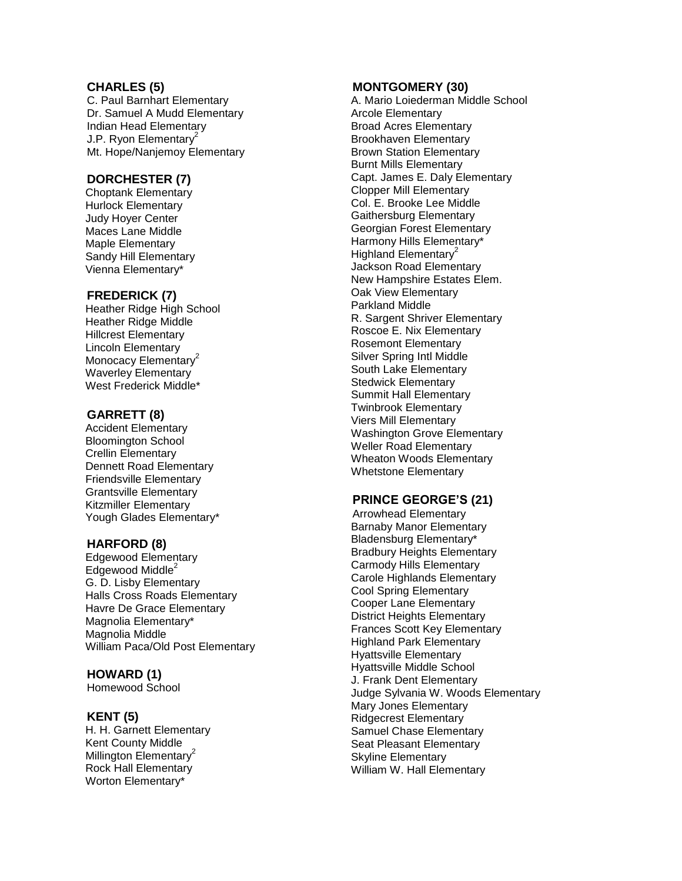## **CHARLES ( 5 )**

C . Paul Barnhart Elementary D r . Samuel A Mudd Elementary Indian Head Elementary J.P. Ryon Elementary<sup>2</sup> Mt . Hope/Nanjemoy Elementary

# **DORCHESTER ( 7 )**

Choptank Elementary Hurlock Elementary Judy Hoyer Center Maces Lane Middle Maple Elementary Sandy Hill Elementary Vienna Elementary\*

## **FREDERICK ( 7 )**

Heather Ridge High School Heather Ridge Middle Hillcrest Elementary Lincoln Elementary Monocacy Elementary<sup>2</sup> Waverley Elementary West Frederick Middle\*

## **GARRETT ( 8 )**

Accident Elementary Bloomington School Crellin Elementary D ennett Road Elementary Friendsville Elementary Grantsville Elementary Kitzmiller Elementary Yough Glades Elementary\*

# **HARFORD ( 8 )**

Edgewood Elementary Edgewood Middle<sup>2</sup> G . D . Lisby Elementary Halls Cross Roads Elementary Havre D e Grace Elementary Magnolia Elementary\* Magnolia Middle William Paca/Old Post Elementary

#### **HOWARD (1)**

Homewood School

#### **KENT ( 5 )**

H . H . Garnett Elementary Kent County Middle Millington Elementary<sup>2</sup> Rock Hall Elementary Worton Elementary\*

#### **MONTGOMERY (30 )**

A . Mario Loiederman Middle School Arcole Elementary Broad Acres Elementary Brookhaven Elementary Brown Station Elementary Burnt Mills Elementary Capt. James E. Daly Elementary Clopper Mill Elementary Col. E. Brooke Lee Middle Gaithersburg Elementary Georgian Forest Elementary Harmony Hills Elementary\* Highland Elementary<sup>2</sup> Jackson Road Elementary New Hampshire Estates Elem . Oak View Elementary Parkland Middle R . Sargent Shriver Elementary Roscoe E . Nix Elementary Rosemont Elementary Silver Spring Intl Middle South Lake Elementary Stedwick Elementary Summit Hall Elementary Twinbrook Elementary Viers Mill Elementary Washington Grove Elementary Weller Road Elementary Wheaton Woods Elementary Whetstone Elementary

#### **PRINCE GEORGE'S (2 1 )**

Arrowhead Elementary Barnaby Manor Elementary Bladensburg Elementary\* Bradbury Heights Elementary Carmody Hills Elementary Carole Highlands Elementary Cool Spring Elementary Cooper Lane Elementary District Heights Elementary Frances Scott Key Elementary Highland Park Elementary Hyattsville Elementary Hyattsville Middle School J. Frank Dent Elementary Judge Sylvania W. Woods Elementary Mary Jones Elementary Ridgecrest Elementary Samuel Chase Elementary Seat Pleasant Elementary Skyline Elementary William W. Hall Elementary